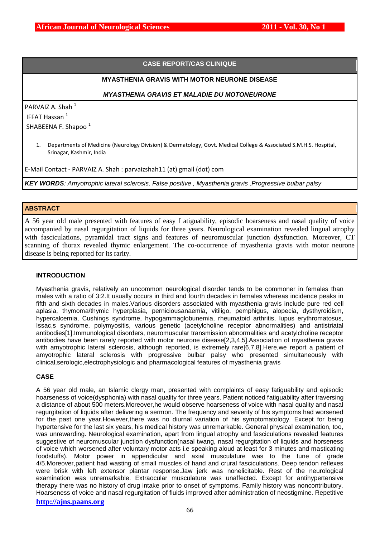# **CASE REPORT/CAS CLINIQUE**

## **MYASTHENIA GRAVIS WITH MOTOR NEURONE DISEASE**

## *MYASTHENIA GRAVIS ET MALADIE DU MOTONEURONE*

PARVAIZ A. Shah $<sup>1</sup>$ </sup> IFFAT Hassan<sup>1</sup>

SHABEENA F. Shapoo<sup>1</sup>

1. Departments of Medicine (Neurology Division) & Dermatology, Govt. Medical College & Associated S.M.H.S. Hospital, Srinagar, Kashmir, India

E-Mail Contact - PARVAIZ A. Shah : [parvaizshah11 \(at\) gmail \(dot\) com](javascript:envoiMail()

*KEY WORDS: Amyotrophic lateral sclerosis, False positive , Myasthenia gravis ,Progressive bulbar palsy*

## **ABSTRACT**

A 56 year old male presented with features of easy f atiguability, episodic hoarseness and nasal quality of voice accompanied by nasal regurgitation of liquids for three years. Neurological examination revealed lingual atrophy with fasciculations, pyramidal tract signs and features of neuromuscular junction dysfunction. Moreover, CT scanning of thorax revealed thymic enlargement. The co-occurrence of myasthenia gravis with motor neurone disease is being reported for its rarity.

### **INTRODUCTION**

Myasthenia gravis, relatively an uncommon neurological disorder tends to be commoner in females than males with a ratio of 3:2.It usually occurs in third and fourth decades in females whereas incidence peaks in fifth and sixth decades in males.Various disorders associated with myasthenia gravis include pure red cell aplasia, thymoma/thymic hyperplasia, perniciousanaemia, vitiligo, pemphigus, alopecia, dysthyroidism, hypercalcemia, Cushings syndrome, hypogammaglobunemia, rheumatoid arthritis, lupus erythromatosus, Issac,s syndrome, polymyositis, various genetic (acetylcholine receptor abnormalities) and antistriatal antibodies[1].Immunological disorders, neuromuscular transmission abnormalities and acetylcholine receptor antibodies have been rarely reported with motor neurone disease[2,3,4,5].Association of myasthenia gravis with amyotrophic lateral sclerosis, although reported, is extremely rare[6,7,8]. Here, we report a patient of amyotrophic lateral sclerosis with progressive bulbar palsy who presented simultaneously with clinical,serologic,electrophysiologic and pharmacological features of myasthenia gravis

## **CASE**

A 56 year old male, an Islamic clergy man, presented with complaints of easy fatiguability and episodic hoarseness of voice(dysphonia) with nasal quality for three years. Patient noticed fatiguability after traversing a distance of about 500 meters.Moreover,he would observe hoarseness of voice with nasal quality and nasal regurgitation of liquids after delivering a sermon. The frequency and severity of his symptoms had worsened for the past one year.However,there was no diurnal variation of his symptomatology. Except for being hypertensive for the last six years, his medical history was unremarkable. General physical examination, too, was unrewarding. Neurological examination, apart from lingual atrophy and fasciculations revealed features suggestive of neuromuscular junction dysfunction(nasal twang, nasal regurgitation of liquids and horseness of voice which worsened after voluntary motor acts i.e speaking aloud at least for 3 minutes and masticating foodstuffs). Motor power in appendicular and axial musculature was to the tune of grade 4/5.Moreover,patient had wasting of small muscles of hand and crural fasciculations. Deep tendon reflexes were brisk with left extensor plantar response.Jaw jerk was nonelicitable. Rest of the neurological examination was unremarkable. Extraocular musculature was unaffected. Except for antihypertensive therapy there was no history of drug intake prior to onset of symptoms. Family history was noncontributory. Hoarseness of voice and nasal regurgitation of fluids improved after administration of neostigmine. Repetitive

## **http://ajns.paans.org**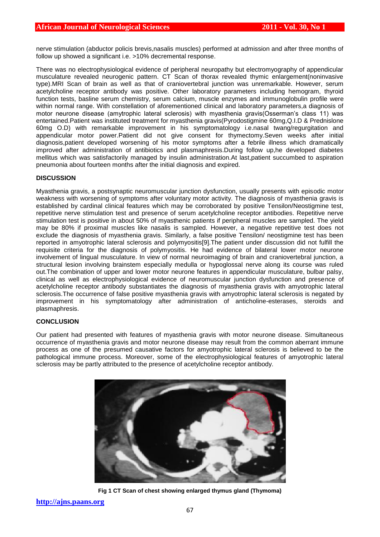nerve stimulation (abductor policis brevis,nasalis muscles) performed at admission and after three months of follow up showed a significant i.e. >10% decremental response.

There was no electrophysiological evidence of peripheral neuropathy but electromyography of appendicular musculature revealed neurogenic pattern. CT Scan of thorax revealed thymic enlargement(noninvasive type).MRI Scan of brain as well as that of craniovertebral junction was unremarkable. However, serum acetylcholine receptor antibody was positive. Other laboratory parameters including hemogram, thyroid function tests, basline serum chemistry, serum calcium, muscle enzymes and immunoglobulin profile were within normal range. With constellation of aforementioned clinical and laboratory parameters,a diagnosis of motor neurone disease (amytrophic lateral sclerosis) with myasthenia gravis(Osserman's class 11) was entertained.Patient was instituted treatment for myasthenia gravis(Pyrodostigmine 60mg,Q.I.D & Prednislone 60mg O.D) with remarkable improvement in his symptomatology i.e.nasal twang/regurgitation and appendicular motor power.Patient did not give consent for thymectomy.Seven weeks after initial diagnosis,patient developed worsening of his motor symptoms after a febrile illness which dramatically improved after administration of antibiotics and plasmaphresis.During follow up,he developed diabetes mellitus which was satisfactorily managed by insulin administration.At last,patient succumbed to aspiration pneumonia about fourteen months after the initial diagnosis and expired.

## **DISCUSSION**

Myasthenia gravis, a postsynaptic neuromuscular junction dysfunction, usually presents with episodic motor weakness with worsening of symptoms after voluntary motor activity. The diagnosis of myasthenia gravis is established by cardinal clinical features which may be corroborated by positive Tensilon/Neostigmine test, repetitive nerve stimulation test and presence of serum acetylcholine receptor antibodies. Repetitive nerve stimulation test is positive in about 50% of myasthenic patients if peripheral muscles are sampled. The yield may be 80% if proximal muscles like nasalis is sampled. However, a negative repetitive test does not exclude the diagnosis of myasthenia gravis. Similarly, a false positive Tensilon/ neostigmine test has been reported in amyotrophic lateral sclerosis and polymyositis[9].The patient under discussion did not fulfill the requisite criteria for the diagnosis of polymyositis. He had evidence of bilateral lower motor neurone involvement of lingual musculature. In view of normal neuroimaging of brain and craniovertebral junction, a structural lesion involving brainstem especially medulla or hypoglossal nerve along its course was ruled out.The combination of upper and lower motor neurone features in appendicular musculature, bulbar palsy, clinical as well as electrophysiological evidence of neuromuscular junction dysfunction and presence of acetylcholine receptor antibody substantiates the diagnosis of myasthenia gravis with amyotrophic lateral sclerosis.The occurrence of false positive myasthenia gravis with amyotrophic lateral sclerosis is negated by improvement in his symptomatology after administration of anticholine-esterases, steroids and plasmaphresis.

### **CONCLUSION**

Our patient had presented with features of myasthenia gravis with motor neurone disease. Simultaneous occurrence of myasthenia gravis and motor neurone disease may result from the common aberrant immune process as one of the presumed causative factors for amyotrophic lateral sclerosis is believed to be the pathological immune process. Moreover, some of the electrophysiological features of amyotrophic lateral sclerosis may be partly attributed to the presence of acetylcholine receptor antibody.



**Fig 1 CT Scan of chest showing enlarged thymus gland (Thymoma)**